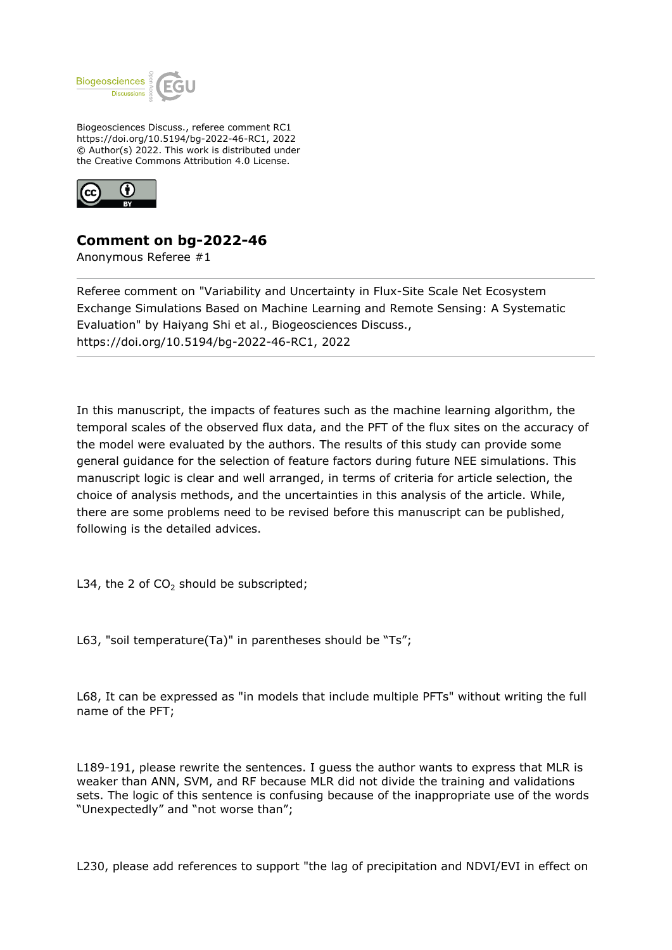

Biogeosciences Discuss., referee comment RC1 https://doi.org/10.5194/bg-2022-46-RC1, 2022 © Author(s) 2022. This work is distributed under the Creative Commons Attribution 4.0 License.



## **Comment on bg-2022-46**

Anonymous Referee #1

Referee comment on "Variability and Uncertainty in Flux-Site Scale Net Ecosystem Exchange Simulations Based on Machine Learning and Remote Sensing: A Systematic Evaluation" by Haiyang Shi et al., Biogeosciences Discuss., https://doi.org/10.5194/bg-2022-46-RC1, 2022

In this manuscript, the impacts of features such as the machine learning algorithm, the temporal scales of the observed flux data, and the PFT of the flux sites on the accuracy of the model were evaluated by the authors. The results of this study can provide some general guidance for the selection of feature factors during future NEE simulations. This manuscript logic is clear and well arranged, in terms of criteria for article selection, the choice of analysis methods, and the uncertainties in this analysis of the article. While, there are some problems need to be revised before this manuscript can be published, following is the detailed advices.

L34, the 2 of  $CO<sub>2</sub>$  should be subscripted;

L63, "soil temperature(Ta)" in parentheses should be "Ts";

L68, It can be expressed as "in models that include multiple PFTs" without writing the full name of the PFT;

L189-191, please rewrite the sentences. I guess the author wants to express that MLR is weaker than ANN, SVM, and RF because MLR did not divide the training and validations sets. The logic of this sentence is confusing because of the inappropriate use of the words "Unexpectedly" and "not worse than";

L230, please add references to support "the lag of precipitation and NDVI/EVI in effect on